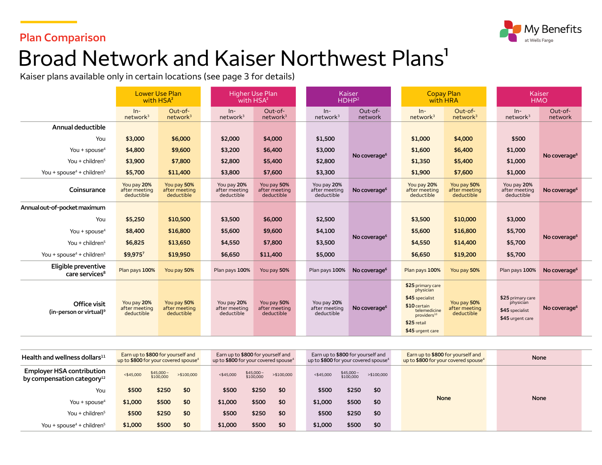### **Plan Comparison**



# Broad Network and Kaiser Northwest Plans<sup>1</sup>

Kaiser plans available only in certain locations (see page 3 for details)

|                                                        | <b>Lower Use Plan</b><br>with HSA <sup>2</sup> |                                            | <b>Higher Use Plan</b><br>with HSA <sup>2</sup> |                                            | Kaiser<br>HDHP <sup>2</sup>                |                          | <b>Copay Plan</b><br>with HRA                                                                                                                   |                                            |  | Kaiser<br><b>HMO</b>                                                  |                          |  |
|--------------------------------------------------------|------------------------------------------------|--------------------------------------------|-------------------------------------------------|--------------------------------------------|--------------------------------------------|--------------------------|-------------------------------------------------------------------------------------------------------------------------------------------------|--------------------------------------------|--|-----------------------------------------------------------------------|--------------------------|--|
|                                                        | $In-$<br>network <sup>3</sup>                  | Out-of-<br>network <sup>3</sup>            | $In-$<br>network <sup>3</sup>                   | Out-of-<br>network <sup>3</sup>            | $In-$<br>network <sup>3</sup>              | Out-of-<br>network       | $ln-$<br>network <sup>3</sup>                                                                                                                   | Out-of-<br>network <sup>3</sup>            |  | $In-$<br>network <sup>3</sup>                                         | Out-of-<br>network       |  |
| Annual deductible                                      |                                                |                                            |                                                 |                                            |                                            |                          |                                                                                                                                                 |                                            |  |                                                                       |                          |  |
| You                                                    | \$3,000                                        | \$6,000                                    | \$2,000                                         | \$4,000                                    | \$1,500                                    |                          | \$1,000                                                                                                                                         | \$4,000                                    |  | \$500                                                                 |                          |  |
| You + spouse <sup>4</sup>                              | \$4,800                                        | \$9,600                                    | \$3,200                                         | \$6,400                                    | \$3,000                                    | No coverage <sup>6</sup> | \$1,600                                                                                                                                         | \$6,400                                    |  | \$1,000                                                               | No coverage <sup>6</sup> |  |
| You + children $5$                                     | \$3,900                                        | \$7,800                                    | \$2,800                                         | \$5,400                                    | \$2,800                                    |                          | \$1,350                                                                                                                                         | \$5,400                                    |  | \$1,000                                                               |                          |  |
| You + spouse <sup>4</sup> + children <sup>5</sup>      | \$5,700                                        | \$11,400                                   | \$3,800                                         | \$7,600                                    | \$3,300                                    |                          | \$1,900                                                                                                                                         | \$7,600                                    |  | \$1,000                                                               |                          |  |
| Coinsurance                                            | You pay 20%<br>after meeting<br>deductible     | You pay 50%<br>after meeting<br>deductible | You pay 20%<br>after meeting<br>deductible      | You pay 50%<br>after meeting<br>deductible | You pay 20%<br>after meeting<br>deductible | No coverage <sup>6</sup> | You pay 20%<br>after meeting<br>deductible                                                                                                      | You pay 50%<br>after meeting<br>deductible |  | You pay 20%<br>after meeting<br>deductible                            | No coverage <sup>6</sup> |  |
| Annual out-of-pocket maximum                           |                                                |                                            |                                                 |                                            |                                            |                          |                                                                                                                                                 |                                            |  |                                                                       |                          |  |
| You                                                    | \$5,250                                        | \$10,500                                   | \$3,500                                         | \$6,000                                    | \$2,500                                    |                          | \$3,500                                                                                                                                         | \$10,000                                   |  | \$3,000                                                               |                          |  |
| You + spouse <sup>4</sup>                              | \$8,400                                        | \$16,800                                   | \$5,600                                         | \$9,600                                    | \$4,100                                    |                          | \$5,600                                                                                                                                         | \$16,800                                   |  | \$5,700                                                               |                          |  |
| You + children $5$                                     | \$6,825                                        | \$13,650                                   | \$4,550                                         | \$7,800                                    | \$3,500                                    | No coverage <sup>6</sup> | \$4,550                                                                                                                                         | \$14,400                                   |  | \$5,700                                                               | No coverage <sup>6</sup> |  |
| You + spouse <sup>4</sup> + children <sup>5</sup>      | \$9,9757                                       | \$19,950                                   | \$6,650                                         | \$11,400                                   | \$5,000                                    |                          | \$6,650                                                                                                                                         | \$19,200                                   |  | \$5,700                                                               |                          |  |
| Eligible preventive<br>care services <sup>8</sup>      | Plan pays 100%                                 | You pay 50%                                | Plan pays 100%                                  | You pay 50%                                | Plan pays 100%                             | No coverage <sup>6</sup> | Plan pays 100%                                                                                                                                  | You pay 50%                                |  | Plan pays 100%                                                        | No coverage <sup>6</sup> |  |
| Office visit<br>$(in$ -person or virtual) <sup>9</sup> | You pay 20%<br>after meeting<br>deductible     | You pay 50%<br>after meeting<br>deductible | You pay 20%<br>after meeting<br>deductible      | You pay 50%<br>after meeting<br>deductible | You pay 20%<br>after meeting<br>deductible | No coverage <sup>6</sup> | \$25 primary care<br>physician<br>\$45 specialist<br>\$10 certain<br>telemedicine<br>providers <sup>10</sup><br>\$25 retail<br>\$45 urgent care | You pay 50%<br>after meeting<br>deductible |  | \$25 primary care<br>physician<br>\$45 specialist<br>\$45 urgent care | No coverage <sup>6</sup> |  |

| Health and wellness dollars $^{11}$                                        | Earn up to \$800 for yourself and<br>up to \$800 for your covered spouse <sup>4</sup> |                        |             | Earn up to \$800 for yourself and<br>up to \$800 for your covered spouse <sup>4</sup> |                         |             | Earn up to \$800 for yourself and<br>up to \$800 for your covered spouse <sup>4</sup> |                        |            | Earn up to \$800 for yourself and<br>up to \$800 for your covered spouse <sup>4</sup> | None        |  |
|----------------------------------------------------------------------------|---------------------------------------------------------------------------------------|------------------------|-------------|---------------------------------------------------------------------------------------|-------------------------|-------------|---------------------------------------------------------------------------------------|------------------------|------------|---------------------------------------------------------------------------------------|-------------|--|
| <b>Employer HSA contribution</b><br>by compensation category <sup>12</sup> | $<$ \$45,000                                                                          | \$45,000-<br>\$100,000 | > \$100,000 | $<$ \$45,000                                                                          | $$45,000-$<br>\$100,000 | > \$100,000 | $<$ \$45,000                                                                          | \$45,000-<br>\$100,000 | >\$100,000 |                                                                                       |             |  |
| You                                                                        | \$500                                                                                 | \$250                  | \$0         | \$500                                                                                 | \$250                   | \$0         | \$500                                                                                 | \$250                  | \$0        |                                                                                       |             |  |
| You + spouse <sup>4</sup>                                                  | \$1,000                                                                               | \$500                  | \$0         | \$1,000                                                                               | \$500                   | \$0         | \$1,000                                                                               | \$500                  | \$0        | <b>None</b>                                                                           | <b>None</b> |  |
| You + children <sup>5</sup>                                                | \$500                                                                                 | \$250                  | \$0         | \$500                                                                                 | \$250                   | \$0         | \$500                                                                                 | \$250                  | \$0        |                                                                                       |             |  |
| You + spouse <sup>4</sup> + children <sup>5</sup>                          | \$1,000                                                                               | \$500                  | \$0         | \$1,000                                                                               | \$500                   | \$0         | \$1,000                                                                               | \$500                  | \$0        |                                                                                       |             |  |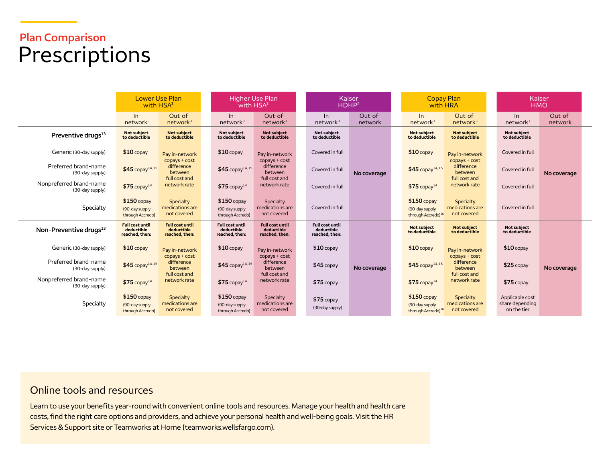## **Plan Comparison**  Prescriptions

|                                            | Lower Use Plan<br>with HSA <sup>2</sup>                |                                                         | <b>Higher Use Plan</b><br>with HSA <sup>2</sup>        |                                                        |                                                        | Kaiser<br>HDHP <sup>2</sup> |  |                                                                   | <b>Copay Plan</b><br>with HRA               |  |                                                   | Kaiser<br><b>HMO</b> |  |
|--------------------------------------------|--------------------------------------------------------|---------------------------------------------------------|--------------------------------------------------------|--------------------------------------------------------|--------------------------------------------------------|-----------------------------|--|-------------------------------------------------------------------|---------------------------------------------|--|---------------------------------------------------|----------------------|--|
|                                            | $In-$<br>network <sup>3</sup>                          | Out-of-<br>network <sup>3</sup>                         | $ln-$<br>network <sup>3</sup>                          | Out-of-<br>network <sup>3</sup>                        | $In-$<br>network <sup>3</sup>                          | Out-of-<br>network          |  | $ln-$<br>network <sup>3</sup>                                     | Out-of-<br>network <sup>3</sup>             |  | $ln-$<br>network <sup>3</sup>                     | Out-of-<br>network   |  |
| Preventive drugs <sup>13</sup>             | Not subject<br>to deductible                           | <b>Not subject</b><br>to deductible                     | Not subject<br>to deductible                           | Not subject<br>to deductible                           | <b>Not subiect</b><br>to deductible                    |                             |  | <b>Not subject</b><br>to deductible                               | <b>Not subject</b><br>to deductible         |  | Not subject<br>to deductible                      |                      |  |
| Generic (30-day supply)                    | $$10$ copay                                            | Pay in-network                                          | $$10$ copay                                            | Pay in-network                                         | Covered in full                                        |                             |  | $$10$ copay                                                       | Pay in-network                              |  | Covered in full                                   |                      |  |
| Preferred brand-name<br>(30-day supply)    | $$45$ copay <sup>14,15</sup>                           | copays + cost<br>difference<br>between<br>full cost and | $$45$ copay <sup>14,15</sup>                           | $copys + cost$<br>difference<br>between                | Covered in full                                        | No coverage                 |  | $$45$ copay <sup>14,15</sup>                                      | copays + cost<br>difference<br>between      |  | Covered in full                                   | No coverage          |  |
| Nonpreferred brand-name<br>(30-day supply) | $$75$ copay <sup>14</sup>                              | network rate                                            | $$75$ copay <sup>14</sup>                              | full cost and<br>network rate                          | Covered in full                                        |                             |  | $$75$ copay <sup>14</sup>                                         | full cost and<br>network rate               |  | Covered in full                                   |                      |  |
| Specialty                                  | $$150$ copay<br>(90-day supply<br>through Accredo)     | Specialty<br>medications are<br>not covered             | $$150$ copay<br>(90-day supply<br>through Accredo)     | Specialty<br>medications are<br>not covered            | Covered in full                                        |                             |  | $$150$ copay<br>(90-day supply<br>through Accredo) <sup>16</sup>  | Specialty<br>medications are<br>not covered |  | Covered in full                                   |                      |  |
| Non-Preventive drugs <sup>13</sup>         | <b>Full cost until</b><br>deductible<br>reached, then: | <b>Full cost until</b><br>deductible<br>reached, then:  | <b>Full cost until</b><br>deductible<br>reached, then: | <b>Full cost until</b><br>deductible<br>reached, then: | <b>Full cost until</b><br>deductible<br>reached, then: |                             |  | <b>Not subject</b><br>to deductible                               | <b>Not subject</b><br>to deductible         |  | Not subject<br>to deductible                      |                      |  |
| Generic (30-day supply)                    | $$10$ copay                                            | Pay in-network                                          | $$10$ copay                                            | Pay in-network                                         | $$10$ copay                                            |                             |  | $$10$ copay                                                       | Pay in-network                              |  | $$10$ copay                                       |                      |  |
| Preferred brand-name<br>(30-day supply)    | $$45$ copay <sup>14,15</sup>                           | copays + cost<br>difference<br>between<br>full cost and | $$45$ copay <sup>14,15</sup>                           | copays + cost<br>difference<br>between                 | $$45$ copay                                            | No coverage                 |  | $$45$ copay <sup>14,15</sup>                                      | copays + cost<br>difference<br>between      |  | $$25$ copay                                       | No coverage          |  |
| Nonpreferred brand-name<br>(30-day supply) | $$75$ copay <sup>14</sup>                              | network rate                                            | $$75$ copay <sup>14</sup>                              | full cost and<br>network rate                          | $$75$ copay                                            |                             |  | $$75$ copay <sup>14</sup>                                         | full cost and<br>network rate               |  | $$75$ copay                                       |                      |  |
| Specialty                                  | $$150$ copay<br>(90-day supply)<br>through Accredo)    | Specialty<br>medications are<br>not covered             | $$150$ copay<br>(90-day supply<br>through Accredo)     | Specialty<br>medications are<br>not covered            | $$75$ copay<br>(30-day supply)                         |                             |  | $$150$ copay<br>(90-day supply)<br>through Accredo) <sup>16</sup> | Specialty<br>medications are<br>not covered |  | Applicable cost<br>share depending<br>on the tier |                      |  |

#### Online tools and resources

Learn to use your benefits year-round with convenient online tools and resources. Manage your health and health care costs, find the right care options and providers, and achieve your personal health and well-being goals. Visit the HR Services & Support site or Teamworks at Hom[e \(teamworks.wellsfargo.com\).](http://teamworks.wellsfargo.com)